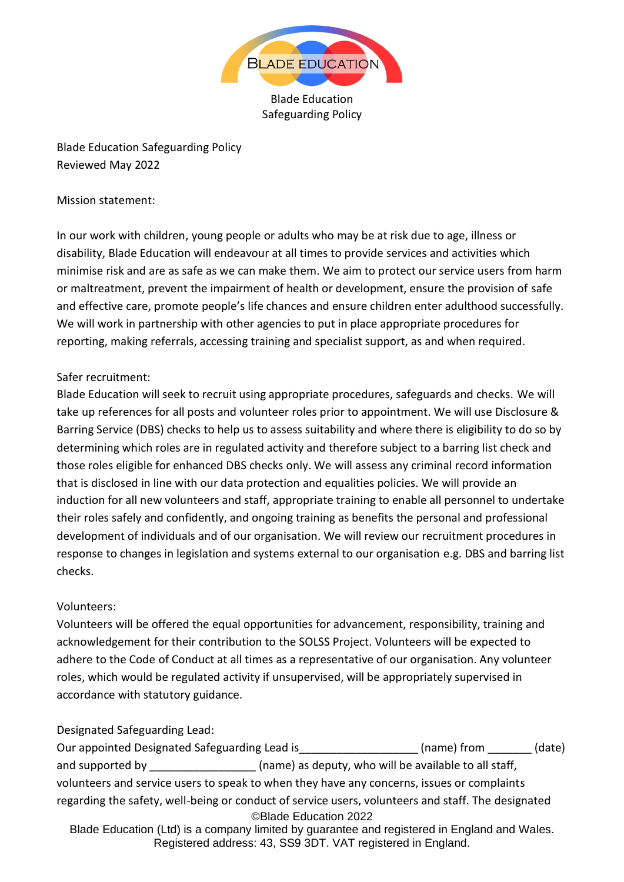

Blade Education Safeguarding Policy

Blade Education Safeguarding Policy Reviewed May 2022

#### Mission statement:

In our work with children, young people or adults who may be at risk due to age, illness or disability, Blade Education will endeavour at all times to provide services and activities which minimise risk and are as safe as we can make them. We aim to protect our service users from harm or maltreatment, prevent the impairment of health or development, ensure the provision of safe and effective care, promote people's life chances and ensure children enter adulthood successfully. We will work in partnership with other agencies to put in place appropriate procedures for reporting, making referrals, accessing training and specialist support, as and when required.

### Safer recruitment:

Blade Education will seek to recruit using appropriate procedures, safeguards and checks. We will take up references for all posts and volunteer roles prior to appointment. We will use Disclosure & Barring Service (DBS) checks to help us to assess suitability and where there is eligibility to do so by determining which roles are in regulated activity and therefore subject to a barring list check and those roles eligible for enhanced DBS checks only. We will assess any criminal record information that is disclosed in line with our data protection and equalities policies. We will provide an induction for all new volunteers and staff, appropriate training to enable all personnel to undertake their roles safely and confidently, and ongoing training as benefits the personal and professional development of individuals and of our organisation. We will review our recruitment procedures in response to changes in legislation and systems external to our organisation e.g. DBS and barring list checks.

### Volunteers:

Volunteers will be offered the equal opportunities for advancement, responsibility, training and acknowledgement for their contribution to the SOLSS Project. Volunteers will be expected to adhere to the Code of Conduct at all times as a representative of our organisation. Any volunteer roles, which would be regulated activity if unsupervised, will be appropriately supervised in accordance with statutory guidance.

### Designated Safeguarding Lead:

©Blade Education 2022 Blade Education (Ltd) is a company limited by guarantee and registered in England and Wales. Our appointed Designated Safeguarding Lead is The Summan (name) from (date) and supported by \_\_\_\_\_\_\_\_\_\_\_\_\_\_\_\_\_\_\_ (name) as deputy, who will be available to all staff, volunteers and service users to speak to when they have any concerns, issues or complaints regarding the safety, well-being or conduct of service users, volunteers and staff. The designated

Registered address: 43, SS9 3DT. VAT registered in England.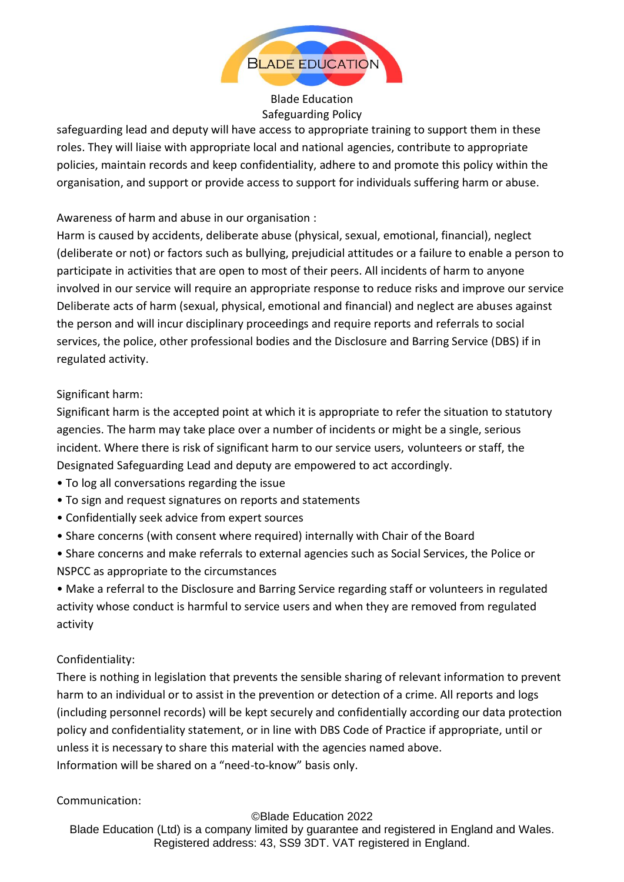

Blade Education Safeguarding Policy

safeguarding lead and deputy will have access to appropriate training to support them in these roles. They will liaise with appropriate local and national agencies, contribute to appropriate policies, maintain records and keep confidentiality, adhere to and promote this policy within the organisation, and support or provide access to support for individuals suffering harm or abuse.

## Awareness of harm and abuse in our organisation :

Harm is caused by accidents, deliberate abuse (physical, sexual, emotional, financial), neglect (deliberate or not) or factors such as bullying, prejudicial attitudes or a failure to enable a person to participate in activities that are open to most of their peers. All incidents of harm to anyone involved in our service will require an appropriate response to reduce risks and improve our service Deliberate acts of harm (sexual, physical, emotional and financial) and neglect are abuses against the person and will incur disciplinary proceedings and require reports and referrals to social services, the police, other professional bodies and the Disclosure and Barring Service (DBS) if in regulated activity.

### Significant harm:

Significant harm is the accepted point at which it is appropriate to refer the situation to statutory agencies. The harm may take place over a number of incidents or might be a single, serious incident. Where there is risk of significant harm to our service users, volunteers or staff, the Designated Safeguarding Lead and deputy are empowered to act accordingly.

- To log all conversations regarding the issue
- To sign and request signatures on reports and statements
- Confidentially seek advice from expert sources
- Share concerns (with consent where required) internally with Chair of the Board
- Share concerns and make referrals to external agencies such as Social Services, the Police or NSPCC as appropriate to the circumstances

• Make a referral to the Disclosure and Barring Service regarding staff or volunteers in regulated activity whose conduct is harmful to service users and when they are removed from regulated activity

# Confidentiality:

There is nothing in legislation that prevents the sensible sharing of relevant information to prevent harm to an individual or to assist in the prevention or detection of a crime. All reports and logs (including personnel records) will be kept securely and confidentially according our data protection policy and confidentiality statement, or in line with DBS Code of Practice if appropriate, until or unless it is necessary to share this material with the agencies named above. Information will be shared on a "need-to-know" basis only.

### Communication:

©Blade Education 2022 Blade Education (Ltd) is a company limited by guarantee and registered in England and Wales. Registered address: 43, SS9 3DT. VAT registered in England.